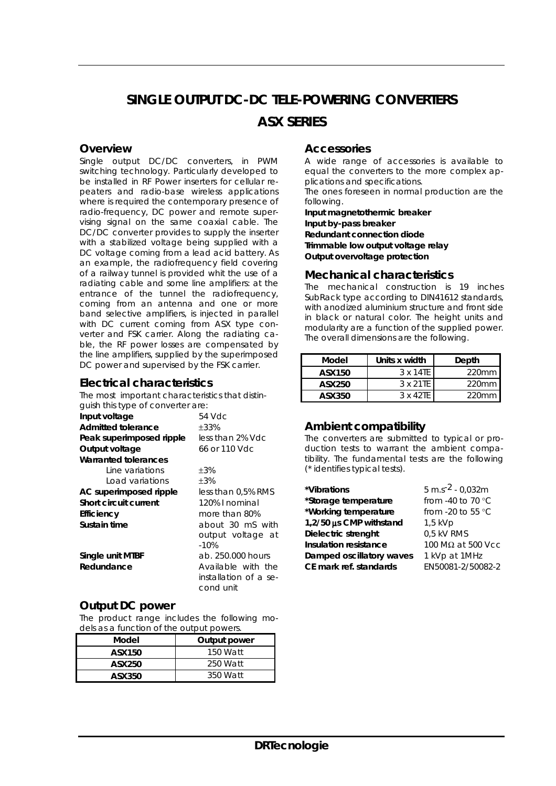# **SINGLE OUTPUT DC-DC TELE-POWERING CONVERTERS**

### *ASX SERIES*

#### **Overview**

Single output DC/DC converters, in PWM switching technology. Particularly developed to be installed in RF Power inserters for cellular repeaters and radio-base wireless applications where is required the contemporary presence of radio-frequency, DC power and remote supervising signal on the same coaxial cable. The DC/DC converter provides to supply the inserter with a stabilized voltage being supplied with a DC voltage coming from a lead acid battery. As an example, the radiofrequency field covering of a railway tunnel is provided whit the use of a radiating cable and some line amplifiers: at the entrance of the tunnel the radiofrequency, coming from an antenna and one or more band selective amplifiers, is injected in parallel with DC current coming from ASX type converter and FSK carrier. Along the radiating cable, the RF power losses are compensated by the line amplifiers, supplied by the superimposed DC power and supervised by the FSK carrier.

#### **Electrical characteristics**

| The most important characteristics that distin- |                                                          |  |  |  |  |
|-------------------------------------------------|----------------------------------------------------------|--|--|--|--|
| guish this type of converter are:               |                                                          |  |  |  |  |
| Input voltage                                   | 54 Vdc                                                   |  |  |  |  |
| <b>Admitted tolerance</b>                       | ±33%                                                     |  |  |  |  |
| Peak superimposed ripple                        | less than 2% Vdc                                         |  |  |  |  |
| Output voltage                                  | 66 or 110 Vdc                                            |  |  |  |  |
| <b>Warranted tolerances</b>                     |                                                          |  |  |  |  |
| Line variations                                 | $\pm 3\%$                                                |  |  |  |  |
| Load variations                                 | $+3%$                                                    |  |  |  |  |
| AC superimposed ripple                          | less than 0,5% RMS                                       |  |  |  |  |
| Short circuit current                           | 120% I nominal                                           |  |  |  |  |
| Efficiency                                      | more than 80%                                            |  |  |  |  |
| Sustain time                                    | about 30 mS with                                         |  |  |  |  |
|                                                 | output voltage at<br>$-10%$                              |  |  |  |  |
| Single unit MTBF                                | ab. 250,000 hours                                        |  |  |  |  |
| Redundance                                      | Available with the<br>installation of a se-<br>cond unit |  |  |  |  |

#### **Output DC power**

The product range includes the following models as a function of the output powers.

| Model  | Output power |  |  |
|--------|--------------|--|--|
| ASX150 | 150 Watt     |  |  |
| ASX250 | 250 Watt     |  |  |
| ASX350 | 350 Watt     |  |  |

#### **Accessories**

A wide range of accessories is available to equal the converters to the more complex applications and specifications.

The ones foreseen in normal production are the following.

**Input magnetothermic breaker Input by-pass breaker Redundant connection diode Trimmable low output voltage relay Output overvoltage protection** 

#### **Mechanical characteristics**

The mechanical construction is 19 inches SubRack type according to DIN41612 standards, with anodized aluminium structure and front side in black or natural color. The height units and modularity are a function of the supplied power. The overall dimensions are the following.

| Model  | Units x width    | Depth    |  |
|--------|------------------|----------|--|
| ASX150 | 3 x 14TE         | $220$ mm |  |
| ASX250 | 3 x 21TF         | $220$ mm |  |
| ASX350 | $3 \times 42$ TF | $220$ mm |  |

#### **Ambient compatibility**

The converters are submitted to typical or production tests to warrant the ambient compatibility. The fundamental tests are the following (\* identifies typical tests).

| $5 \text{ m.s}^{-2}$ - 0,032m |
|-------------------------------|
| from -40 to 70 °C             |
| from -20 to 55 $\degree$ C    |
| $1,5$ kVp                     |
| 0,5 kV RMS                    |
| 100 M $\Omega$ at 500 Vcc     |
| 1 kVp at 1MHz                 |
| EN50081-2/50082-2             |
|                               |